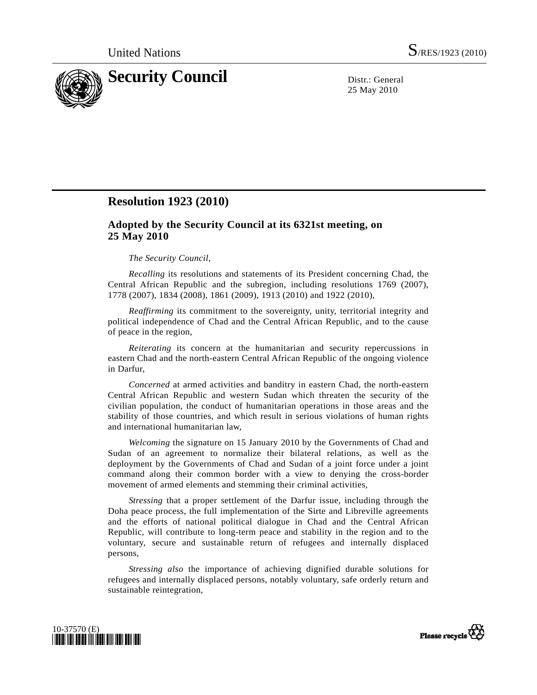

25 May 2010

## **Resolution 1923 (2010)**

## **Adopted by the Security Council at its 6321st meeting, on 25 May 2010**

## *The Security Council*,

*Recalling* its resolutions and statements of its President concerning Chad, the Central African Republic and the subregion, including resolutions 1769 (2007), 1778 (2007), 1834 (2008), 1861 (2009), 1913 (2010) and 1922 (2010),

*Reaffirming* its commitment to the sovereignty, unity, territorial integrity and political independence of Chad and the Central African Republic, and to the cause of peace in the region,

*Reiterating* its concern at the humanitarian and security repercussions in eastern Chad and the north-eastern Central African Republic of the ongoing violence in Darfur,

 *Concerned* at armed activities and banditry in eastern Chad, the north-eastern Central African Republic and western Sudan which threaten the security of the civilian population, the conduct of humanitarian operations in those areas and the stability of those countries, and which result in serious violations of human rights and international humanitarian law,

*Welcoming* the signature on 15 January 2010 by the Governments of Chad and Sudan of an agreement to normalize their bilateral relations, as well as the deployment by the Governments of Chad and Sudan of a joint force under a joint command along their common border with a view to denying the cross-border movement of armed elements and stemming their criminal activities,

*Stressing* that a proper settlement of the Darfur issue, including through the Doha peace process, the full implementation of the Sirte and Libreville agreements and the efforts of national political dialogue in Chad and the Central African Republic, will contribute to long-term peace and stability in the region and to the voluntary, secure and sustainable return of refugees and internally displaced persons,

*Stressing also* the importance of achieving dignified durable solutions for refugees and internally displaced persons, notably voluntary, safe orderly return and sustainable reintegration,



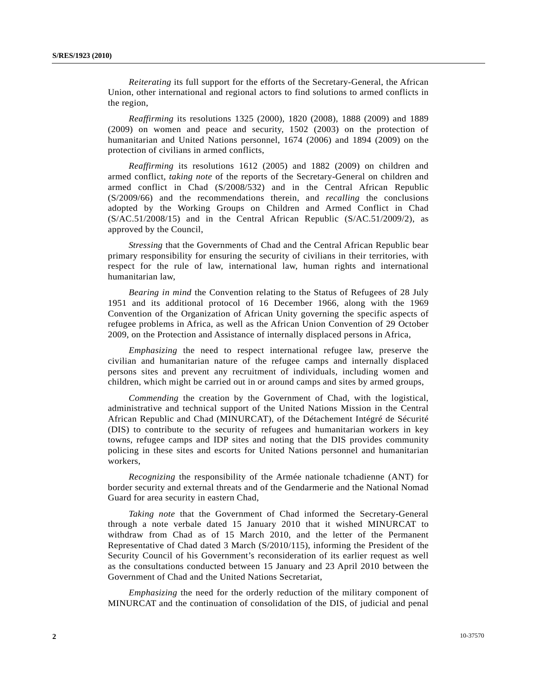*Reiterating* its full support for the efforts of the Secretary-General, the African Union, other international and regional actors to find solutions to armed conflicts in the region,

*Reaffirming* its resolutions 1325 (2000), 1820 (2008), 1888 (2009) and 1889 (2009) on women and peace and security, 1502 (2003) on the protection of humanitarian and United Nations personnel, 1674 (2006) and 1894 (2009) on the protection of civilians in armed conflicts,

*Reaffirming* its resolutions 1612 (2005) and 1882 (2009) on children and armed conflict, *taking note* of the reports of the Secretary-General on children and armed conflict in Chad (S/2008/532) and in the Central African Republic (S/2009/66) and the recommendations therein, and *recalling* the conclusions adopted by the Working Groups on Children and Armed Conflict in Chad (S/AC.51/2008/15) and in the Central African Republic (S/AC.51/2009/2), as approved by the Council,

*Stressing* that the Governments of Chad and the Central African Republic bear primary responsibility for ensuring the security of civilians in their territories, with respect for the rule of law, international law, human rights and international humanitarian law,

*Bearing in mind* the Convention relating to the Status of Refugees of 28 July 1951 and its additional protocol of 16 December 1966, along with the 1969 Convention of the Organization of African Unity governing the specific aspects of refugee problems in Africa, as well as the African Union Convention of 29 October 2009, on the Protection and Assistance of internally displaced persons in Africa,

*Emphasizing* the need to respect international refugee law, preserve the civilian and humanitarian nature of the refugee camps and internally displaced persons sites and prevent any recruitment of individuals, including women and children, which might be carried out in or around camps and sites by armed groups,

*Commending* the creation by the Government of Chad, with the logistical, administrative and technical support of the United Nations Mission in the Central African Republic and Chad (MINURCAT), of the Détachement Intégré de Sécurité (DIS) to contribute to the security of refugees and humanitarian workers in key towns, refugee camps and IDP sites and noting that the DIS provides community policing in these sites and escorts for United Nations personnel and humanitarian workers,

*Recognizing* the responsibility of the Armée nationale tchadienne (ANT) for border security and external threats and of the Gendarmerie and the National Nomad Guard for area security in eastern Chad,

*Taking note* that the Government of Chad informed the Secretary-General through a note verbale dated 15 January 2010 that it wished MINURCAT to withdraw from Chad as of 15 March 2010, and the letter of the Permanent Representative of Chad dated 3 March (S/2010/115), informing the President of the Security Council of his Government's reconsideration of its earlier request as well as the consultations conducted between 15 January and 23 April 2010 between the Government of Chad and the United Nations Secretariat,

*Emphasizing* the need for the orderly reduction of the military component of MINURCAT and the continuation of consolidation of the DIS, of judicial and penal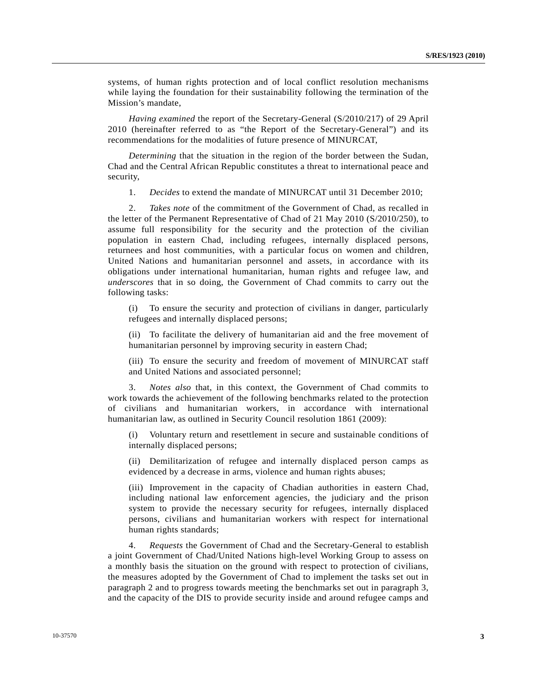systems, of human rights protection and of local conflict resolution mechanisms while laying the foundation for their sustainability following the termination of the Mission's mandate,

*Having examined* the report of the Secretary-General (S/2010/217) of 29 April 2010 (hereinafter referred to as "the Report of the Secretary-General") and its recommendations for the modalities of future presence of MINURCAT,

*Determining* that the situation in the region of the border between the Sudan, Chad and the Central African Republic constitutes a threat to international peace and security,

1. *Decides* to extend the mandate of MINURCAT until 31 December 2010;

 2. *Takes note* of the commitment of the Government of Chad, as recalled in the letter of the Permanent Representative of Chad of 21 May 2010 (S/2010/250), to assume full responsibility for the security and the protection of the civilian population in eastern Chad, including refugees, internally displaced persons, returnees and host communities, with a particular focus on women and children, United Nations and humanitarian personnel and assets, in accordance with its obligations under international humanitarian, human rights and refugee law, and *underscores* that in so doing, the Government of Chad commits to carry out the following tasks:

 (i) To ensure the security and protection of civilians in danger, particularly refugees and internally displaced persons;

 (ii) To facilitate the delivery of humanitarian aid and the free movement of humanitarian personnel by improving security in eastern Chad;

 (iii) To ensure the security and freedom of movement of MINURCAT staff and United Nations and associated personnel;

 3. *Notes also* that, in this context, the Government of Chad commits to work towards the achievement of the following benchmarks related to the protection of civilians and humanitarian workers, in accordance with international humanitarian law, as outlined in Security Council resolution 1861 (2009):

Voluntary return and resettlement in secure and sustainable conditions of internally displaced persons;

 (ii) Demilitarization of refugee and internally displaced person camps as evidenced by a decrease in arms, violence and human rights abuses;

 (iii) Improvement in the capacity of Chadian authorities in eastern Chad, including national law enforcement agencies, the judiciary and the prison system to provide the necessary security for refugees, internally displaced persons, civilians and humanitarian workers with respect for international human rights standards;

 4. *Requests* the Government of Chad and the Secretary-General to establish a joint Government of Chad/United Nations high-level Working Group to assess on a monthly basis the situation on the ground with respect to protection of civilians, the measures adopted by the Government of Chad to implement the tasks set out in paragraph 2 and to progress towards meeting the benchmarks set out in paragraph 3, and the capacity of the DIS to provide security inside and around refugee camps and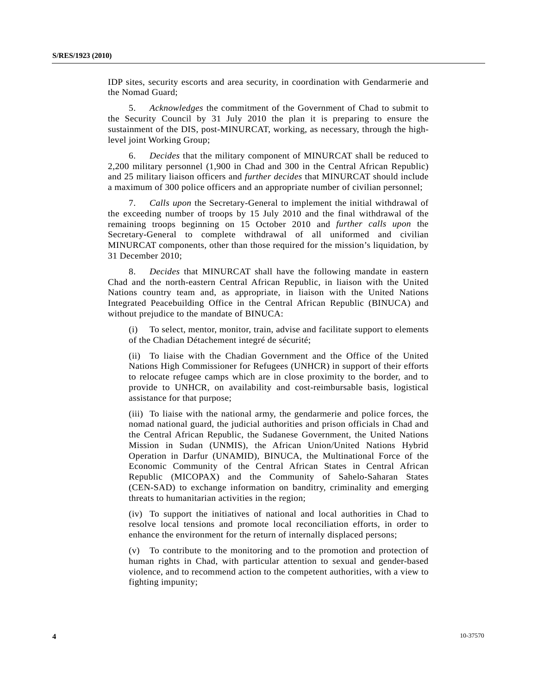IDP sites, security escorts and area security, in coordination with Gendarmerie and the Nomad Guard;

 5. *Acknowledges* the commitment of the Government of Chad to submit to the Security Council by 31 July 2010 the plan it is preparing to ensure the sustainment of the DIS, post-MINURCAT, working, as necessary, through the highlevel joint Working Group;

 6. *Decides* that the military component of MINURCAT shall be reduced to 2,200 military personnel (1,900 in Chad and 300 in the Central African Republic) and 25 military liaison officers and *further decides* that MINURCAT should include a maximum of 300 police officers and an appropriate number of civilian personnel;

 7. *Calls upon* the Secretary-General to implement the initial withdrawal of the exceeding number of troops by 15 July 2010 and the final withdrawal of the remaining troops beginning on 15 October 2010 and *further calls upon* the Secretary-General to complete withdrawal of all uniformed and civilian MINURCAT components, other than those required for the mission's liquidation, by 31 December 2010;

 8. *Decides* that MINURCAT shall have the following mandate in eastern Chad and the north-eastern Central African Republic, in liaison with the United Nations country team and, as appropriate, in liaison with the United Nations Integrated Peacebuilding Office in the Central African Republic (BINUCA) and without prejudice to the mandate of BINUCA:

 (i) To select, mentor, monitor, train, advise and facilitate support to elements of the Chadian Détachement integré de sécurité;

 (ii) To liaise with the Chadian Government and the Office of the United Nations High Commissioner for Refugees (UNHCR) in support of their efforts to relocate refugee camps which are in close proximity to the border, and to provide to UNHCR, on availability and cost-reimbursable basis, logistical assistance for that purpose;

 (iii) To liaise with the national army, the gendarmerie and police forces, the nomad national guard, the judicial authorities and prison officials in Chad and the Central African Republic, the Sudanese Government, the United Nations Mission in Sudan (UNMIS), the African Union/United Nations Hybrid Operation in Darfur (UNAMID), BINUCA, the Multinational Force of the Economic Community of the Central African States in Central African Republic (MICOPAX) and the Community of Sahelo-Saharan States (CEN-SAD) to exchange information on banditry, criminality and emerging threats to humanitarian activities in the region;

 (iv) To support the initiatives of national and local authorities in Chad to resolve local tensions and promote local reconciliation efforts, in order to enhance the environment for the return of internally displaced persons;

 (v) To contribute to the monitoring and to the promotion and protection of human rights in Chad, with particular attention to sexual and gender-based violence, and to recommend action to the competent authorities, with a view to fighting impunity;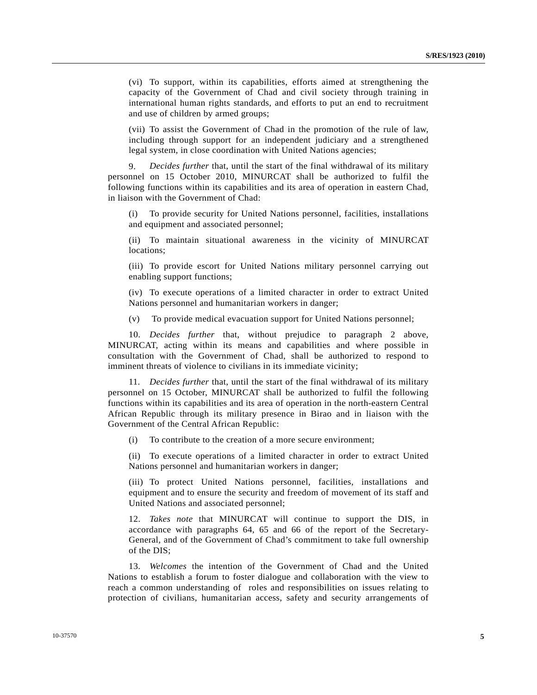(vi) To support, within its capabilities, efforts aimed at strengthening the capacity of the Government of Chad and civil society through training in international human rights standards, and efforts to put an end to recruitment and use of children by armed groups;

 (vii) To assist the Government of Chad in the promotion of the rule of law, including through support for an independent judiciary and a strengthened legal system, in close coordination with United Nations agencies;

 9. *Decides further* that, until the start of the final withdrawal of its military personnel on 15 October 2010, MINURCAT shall be authorized to fulfil the following functions within its capabilities and its area of operation in eastern Chad, in liaison with the Government of Chad:

 (i) To provide security for United Nations personnel, facilities, installations and equipment and associated personnel;

 (ii) To maintain situational awareness in the vicinity of MINURCAT locations;

 (iii) To provide escort for United Nations military personnel carrying out enabling support functions;

 (iv) To execute operations of a limited character in order to extract United Nations personnel and humanitarian workers in danger;

(v) To provide medical evacuation support for United Nations personnel;

 10. *Decides further* that, without prejudice to paragraph 2 above, MINURCAT, acting within its means and capabilities and where possible in consultation with the Government of Chad, shall be authorized to respond to imminent threats of violence to civilians in its immediate vicinity;

 11. *Decides further* that, until the start of the final withdrawal of its military personnel on 15 October, MINURCAT shall be authorized to fulfil the following functions within its capabilities and its area of operation in the north-eastern Central African Republic through its military presence in Birao and in liaison with the Government of the Central African Republic:

(i) To contribute to the creation of a more secure environment;

 (ii) To execute operations of a limited character in order to extract United Nations personnel and humanitarian workers in danger;

 (iii) To protect United Nations personnel, facilities, installations and equipment and to ensure the security and freedom of movement of its staff and United Nations and associated personnel;

 12. *Takes note* that MINURCAT will continue to support the DIS, in accordance with paragraphs 64, 65 and 66 of the report of the Secretary-General, and of the Government of Chad's commitment to take full ownership of the DIS;

 13. *Welcomes* the intention of the Government of Chad and the United Nations to establish a forum to foster dialogue and collaboration with the view to reach a common understanding of roles and responsibilities on issues relating to protection of civilians, humanitarian access, safety and security arrangements of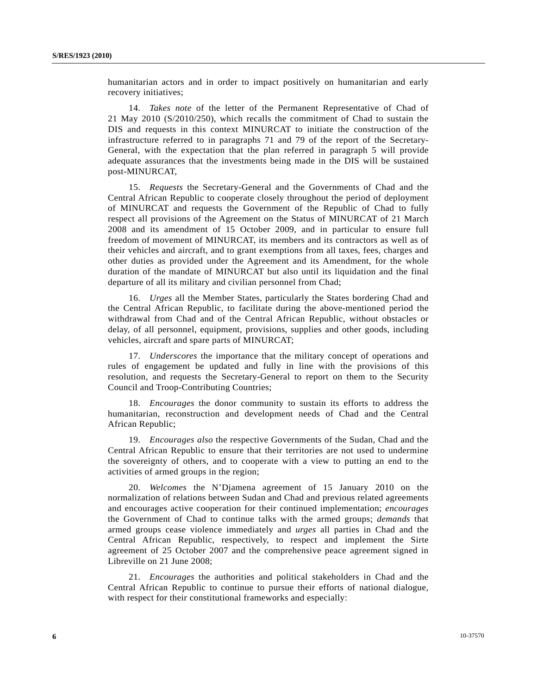humanitarian actors and in order to impact positively on humanitarian and early recovery initiatives;

 14. *Takes note* of the letter of the Permanent Representative of Chad of 21 May 2010 (S/2010/250), which recalls the commitment of Chad to sustain the DIS and requests in this context MINURCAT to initiate the construction of the infrastructure referred to in paragraphs 71 and 79 of the report of the Secretary-General, with the expectation that the plan referred in paragraph 5 will provide adequate assurances that the investments being made in the DIS will be sustained post-MINURCAT,

 15. *Requests* the Secretary-General and the Governments of Chad and the Central African Republic to cooperate closely throughout the period of deployment of MINURCAT and requests the Government of the Republic of Chad to fully respect all provisions of the Agreement on the Status of MINURCAT of 21 March 2008 and its amendment of 15 October 2009, and in particular to ensure full freedom of movement of MINURCAT, its members and its contractors as well as of their vehicles and aircraft, and to grant exemptions from all taxes, fees, charges and other duties as provided under the Agreement and its Amendment, for the whole duration of the mandate of MINURCAT but also until its liquidation and the final departure of all its military and civilian personnel from Chad;

 16. *Urges* all the Member States, particularly the States bordering Chad and the Central African Republic, to facilitate during the above-mentioned period the withdrawal from Chad and of the Central African Republic, without obstacles or delay, of all personnel, equipment, provisions, supplies and other goods, including vehicles, aircraft and spare parts of MINURCAT;

 17. *Underscores* the importance that the military concept of operations and rules of engagement be updated and fully in line with the provisions of this resolution, and requests the Secretary-General to report on them to the Security Council and Troop-Contributing Countries;

 18. *Encourages* the donor community to sustain its efforts to address the humanitarian, reconstruction and development needs of Chad and the Central African Republic;

 19. *Encourages also* the respective Governments of the Sudan, Chad and the Central African Republic to ensure that their territories are not used to undermine the sovereignty of others, and to cooperate with a view to putting an end to the activities of armed groups in the region;

 20. *Welcomes* the N'Djamena agreement of 15 January 2010 on the normalization of relations between Sudan and Chad and previous related agreements and encourages active cooperation for their continued implementation; *encourages* the Government of Chad to continue talks with the armed groups; *demands* that armed groups cease violence immediately and *urges* all parties in Chad and the Central African Republic, respectively, to respect and implement the Sirte agreement of 25 October 2007 and the comprehensive peace agreement signed in Libreville on 21 June 2008;

 21. *Encourages* the authorities and political stakeholders in Chad and the Central African Republic to continue to pursue their efforts of national dialogue, with respect for their constitutional frameworks and especially: